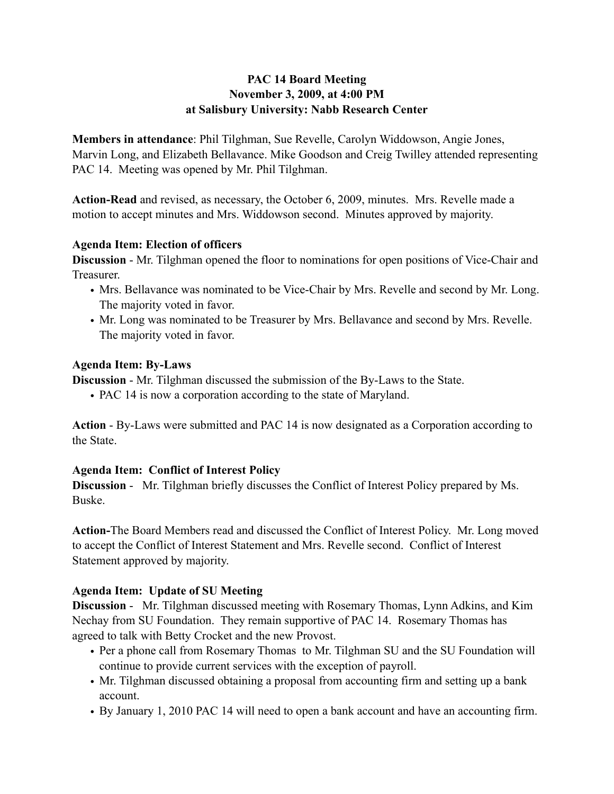### **PAC 14 Board Meeting November 3, 2009, at 4:00 PM at Salisbury University: Nabb Research Center**

**Members in attendance**: Phil Tilghman, Sue Revelle, Carolyn Widdowson, Angie Jones, Marvin Long, and Elizabeth Bellavance. Mike Goodson and Creig Twilley attended representing PAC 14. Meeting was opened by Mr. Phil Tilghman.

**Action-Read** and revised, as necessary, the October 6, 2009, minutes. Mrs. Revelle made a motion to accept minutes and Mrs. Widdowson second. Minutes approved by majority.

#### **Agenda Item: Election of officers**

**Discussion** - Mr. Tilghman opened the floor to nominations for open positions of Vice-Chair and Treasurer.

- Mrs. Bellavance was nominated to be Vice-Chair by Mrs. Revelle and second by Mr. Long. The majority voted in favor.
- Mr. Long was nominated to be Treasurer by Mrs. Bellavance and second by Mrs. Revelle. The majority voted in favor.

#### **Agenda Item: By-Laws**

**Discussion** - Mr. Tilghman discussed the submission of the By-Laws to the State.

• PAC 14 is now a corporation according to the state of Maryland.

**Action** - By-Laws were submitted and PAC 14 is now designated as a Corporation according to the State.

# **Agenda Item: Conflict of Interest Policy**

**Discussion** - Mr. Tilghman briefly discusses the Conflict of Interest Policy prepared by Ms. Buske.

**Action-**The Board Members read and discussed the Conflict of Interest Policy. Mr. Long moved to accept the Conflict of Interest Statement and Mrs. Revelle second. Conflict of Interest Statement approved by majority.

# **Agenda Item: Update of SU Meeting**

**Discussion** - Mr. Tilghman discussed meeting with Rosemary Thomas, Lynn Adkins, and Kim Nechay from SU Foundation. They remain supportive of PAC 14. Rosemary Thomas has agreed to talk with Betty Crocket and the new Provost.

- Per a phone call from Rosemary Thomas to Mr. Tilghman SU and the SU Foundation will continue to provide current services with the exception of payroll.
- Mr. Tilghman discussed obtaining a proposal from accounting firm and setting up a bank account.
- By January 1, 2010 PAC 14 will need to open a bank account and have an accounting firm.